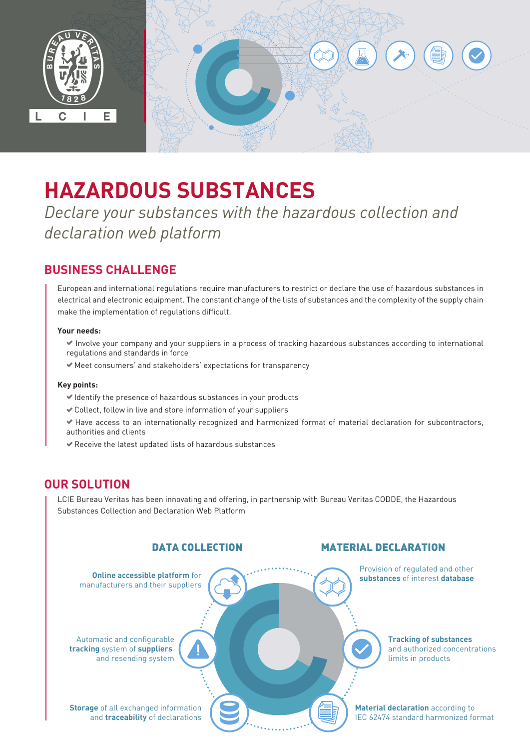

# **HAZARDOUS SUBSTANCES**

*Declare your substances with the hazardous collection and declaration web platform* 

# **BUSINESS CHALLENGE**

European and international regulations require manufacturers to restrict or declare the use of hazardous substances in electrical and electronic equipment. The constant change of the lists of substances and the complexity of the supply chain make the implementation of regulations difficult.

### **Your needs:**

 Involve your company and your suppliers in a process of tracking hazardous substances according to international regulations and standards in force

Meet consumers' and stakeholders' expectations for transparency

#### **Key points:**

- $\blacktriangleright$  Identify the presence of hazardous substances in your products
- Collect, follow in live and store information of your suppliers
- Have access to an internationally recognized and harmonized format of material declaration for subcontractors, authorities and clients
- Receive the latest updated lists of hazardous substances

## **OUR SOLUTION**

LCIE Bureau Veritas has been innovating and offering, in partnership with Bureau Veritas CODDE, the Hazardous Substances Collection and Declaration Web Platform